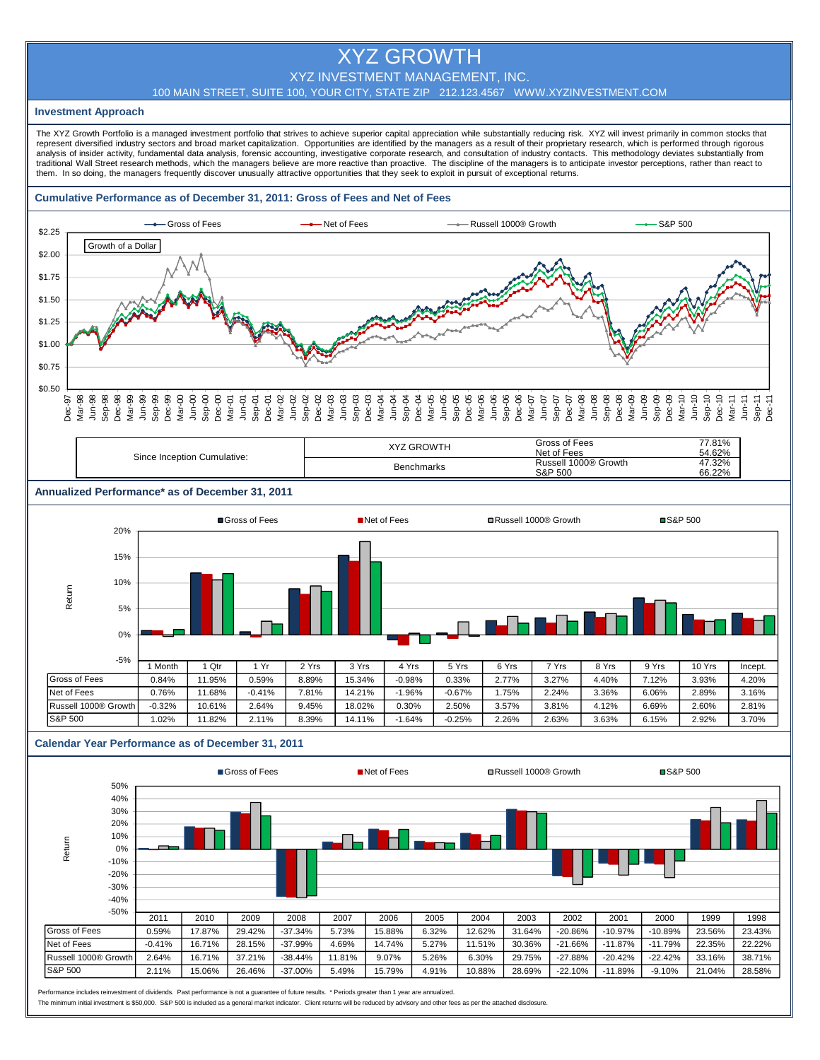# XYZ GROWTH

# XYZ INVESTMENT MANAGEMENT, INC.

#### 100 MAIN STREET, SUITE 100, YOUR CITY, STATE ZIP 212.123.4567 WWW.XYZINVESTMENT.COM

#### **Investment Approach**

The XYZ Growth Portfolio is a managed investment portfolio that strives to achieve superior capital appreciation while substantially reducing risk. XYZ will invest primarily in common stocks that represent diversified industry sectors and broad market capitalization. Opportunities are identified by the managers as a result of their proprietary research, which is performed through rigorous analysis of insider activity, fundamental data analysis, forensic accounting, investigative corporate research, and consultation of industry contacts. This methodology deviates substantially from traditional Wall Street research methods, which the managers believe are more reactive than proactive. The discipline of the managers is to anticipate investor perceptions, rather than react to them. In so doing, the managers frequently discover unusually attractive opportunities that they seek to exploit in pursuit of exceptional returns.

#### **Cumulative Performance as of December 31, 2011: Gross of Fees and Net of Fees**



#### Dec-97 Mar-98 Jun-98 Sep-98 Dec-98 Mar-99 Jun-99 Sep-99 Dec-99 Mar-00 Jun-00 Sep-00 Dec-00 Mar-01 Jun-01 Sep-01 Dec-01 Mar-02 Jun-02 Sep-02 Dec-02 Mar-03 Jun-03 Sep-03 Dec-03 Mar-04 Jun-04 Sep-04 Dec-04 Mar-05 Jun-05 Sep-05 Dec-05 Mar-06 Jun-06 Sep-06 Dec-06 Mar-07 Jun-07 Sep-07 Dec-07 Mar-08 Jun-08 Sep-08 Dec-08 Mar-09 Jun-09 Sep-09 Dec-09 Mar-10 Jun-10 Sep-10 Dec-10 Mar-11 Jun-11 Sep-11 Dec-11

| Since Inception Cumulative: | <b>GROWTH</b><br>VV7 | Gross of Fees<br>Net of Fees | 77.81%<br>54.62% |
|-----------------------------|----------------------|------------------------------|------------------|
|                             | <b>Benchmarks</b>    | 1000® Growth<br>Russel'      | 47.32%           |
|                             |                      | <b>S&amp;P 500</b>           | 66.22%           |

### **Annualized Performance\* as of December 31, 2011**



# **Calendar Year Performance as of December 31, 2011**



Performance includes reinvestment of dividends. Past performance is not a guarantee of future results. \* Periods greater than 1 year are annualized. The minimum initial investment is \$50,000. S&P 500 is included as a general market indicator. Client returns will be reduced by advisory and other fees as per the attached disclosure.